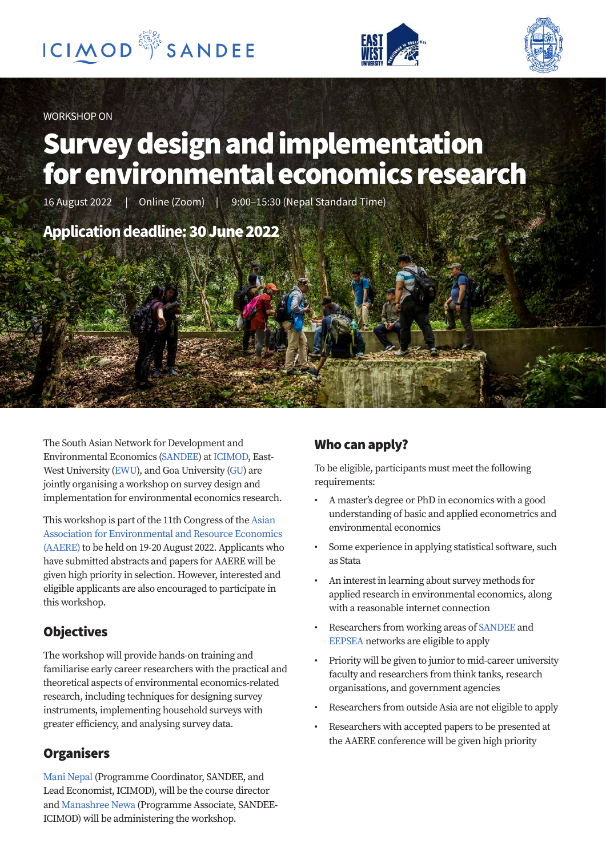





WORKSHOP ON

# Survey design and implementation for environmental economics research

16 August 2022 | Online (Zoom) | 9:00–15:30 (Nepal Standard Time)

# **Application deadline:**30 June 2022

The South Asian Network for Development and Environmental Economics [\(SANDEE\)](https://www.icimod.org/initiative/sandee/) at [ICIMOD,](https://www.icimod.org/) East-West University ([EWU](https://www.ewubd.edu/)), and Goa University [\(GU\)](https://www.unigoa.ac.in/) are jointly organising a workshop on survey design and implementation for environmental economics research.

This workshop is part of the 11th Congress of the [Asian](https://aaere2022.org/call-for-papers/)  [Association for Environmental and Resource Economics](https://aaere2022.org/call-for-papers/)  [\(AAERE\)](https://aaere2022.org/call-for-papers/) to be held on 19-20 August 2022. Applicants who have submitted abstracts and papers for AAERE will be given high priority in selection. However, interested and eligible applicants are also encouraged to participate in this workshop.

# **Objectives**

The workshop will provide hands-on training and familiarise early career researchers with the practical and theoretical aspects of environmental economics-related research, including techniques for designing survey instruments, implementing household surveys with greater efficiency, and analysing survey data.

## **Organisers**

[Mani Nepal](https://www.icimod.org/team/mani-nepal/) (Programme Coordinator, SANDEE, and Lead Economist, ICIMOD), will be the course director and [Manashree Newa](https://www.icimod.org/team/manashree-newa/) (Programme Associate, SANDEE-ICIMOD) will be administering the workshop.

## Who can apply?

To be eligible, participants must meet the following requirements:

- A master's degree or PhD in economics with a good understanding of basic and applied econometrics and environmental economics
- Some experience in applying statistical software, such as Stata
- An interest in learning about survey methods for applied research in environmental economics, along with a reasonable internet connection
- Researchers from working areas of [SANDEE](https://www.icimod.org/initiative/sandee/) and [EEPSEA](https://eepseapartners.org/) networks are eligible to apply
- Priority will be given to junior to mid-career university faculty and researchers from think tanks, research organisations, and government agencies
- Researchers from outside Asia are not eligible to apply
- Researchers with accepted papers to be presented at the AAERE conference will be given high priority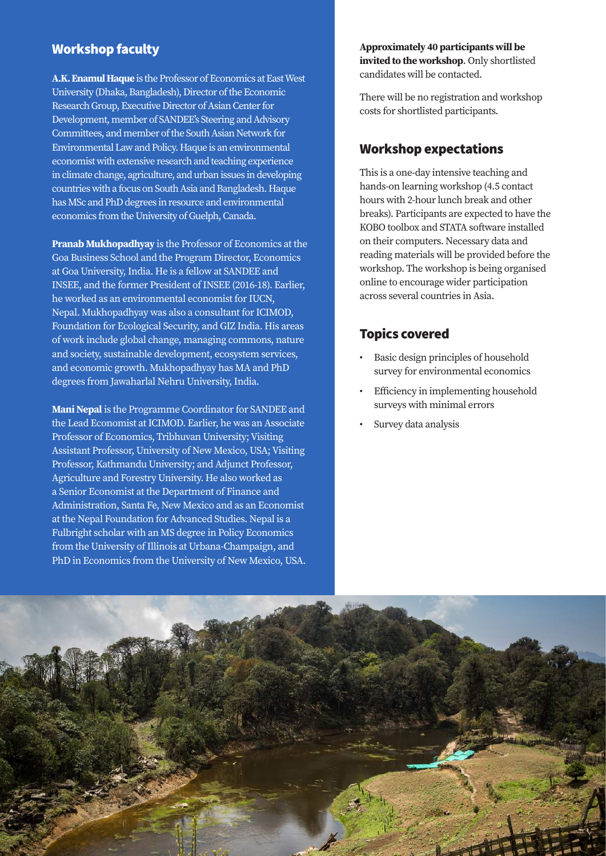#### Workshop faculty

**[A.K. Enamul Haque](http://acdonline.org/profile-of-dr-a-k-enamul-haque/)** is the Professor of Economics at [East West](https://www.ewubd.edu/)  [University](https://www.ewubd.edu/) (Dhaka, Bangladesh), Director of the Economic Research Group, Executive Director of Asian Center for Development, member of SANDEE's Steering and Advisory Committees, and member of the South Asian Network for Environmental Law and Policy. Haque is an environmental economist with extensive research and teaching experience in climate change, agriculture, and urban issues in developing countries with a focus on South Asia and Bangladesh. Haque has MSc and PhD degrees in resource and environmental economics from the University of Guelph, Canada.

**[Pranab Mukhopadhyay](https://www.unigoa.ac.in/faculty/pranab-mukhopadhyay.html)** is the Professor of Economics at the Goa Business School and the Program Director, Economics at Goa University, India. He is a fellow at SANDEE and INSEE, and the former President of INSEE (2016-18). Earlier, he worked as an environmental economist for IUCN, Nepal. Mukhopadhyay was also a consultant for ICIMOD, Foundation for Ecological Security, and GIZ India. His areas of work include global change, managing commons, nature and society, sustainable development, ecosystem services, and economic growth. Mukhopadhyay has MA and PhD degrees from Jawaharlal Nehru University, India.

**[Mani Nepal](https://scholar.google.com/citations?user=OsGqxdgAAAAJ&hl=en&oi=ao)** is the Programme Coordinator for SANDEE and the Lead Economist at ICIMOD. Earlier, he was an Associate Professor of Economics, Tribhuvan University; Visiting Assistant Professor, University of New Mexico, USA; Visiting Professor, Kathmandu University; and Adjunct Professor, Agriculture and Forestry University. He also worked as a Senior Economist at the Department of Finance and Administration, Santa Fe, New Mexico and as an Economist at the Nepal Foundation for Advanced Studies. Nepal is a Fulbright scholar with an MS degree in Policy Economics from the University of Illinois at Urbana-Champaign, and PhD in Economics from the University of New Mexico, USA. **Approximately 40 participants will be invited to the workshop**. Only shortlisted candidates will be contacted.

There will be no registration and workshop costs for shortlisted participants.

#### Workshop expectations

This is a one-day intensive teaching and hands-on learning workshop (4.5 contact hours with 2-hour lunch break and other breaks). Participants are expected to have the KOBO toolbox and STATA software installed on their computers. Necessary data and reading materials will be provided before the workshop. The workshop is being organised online to encourage wider participation across several countries in Asia.

#### Topics covered

- Basic design principles of household survey for environmental economics
- Efficiency in implementing household surveys with minimal errors
- Survey data analysis